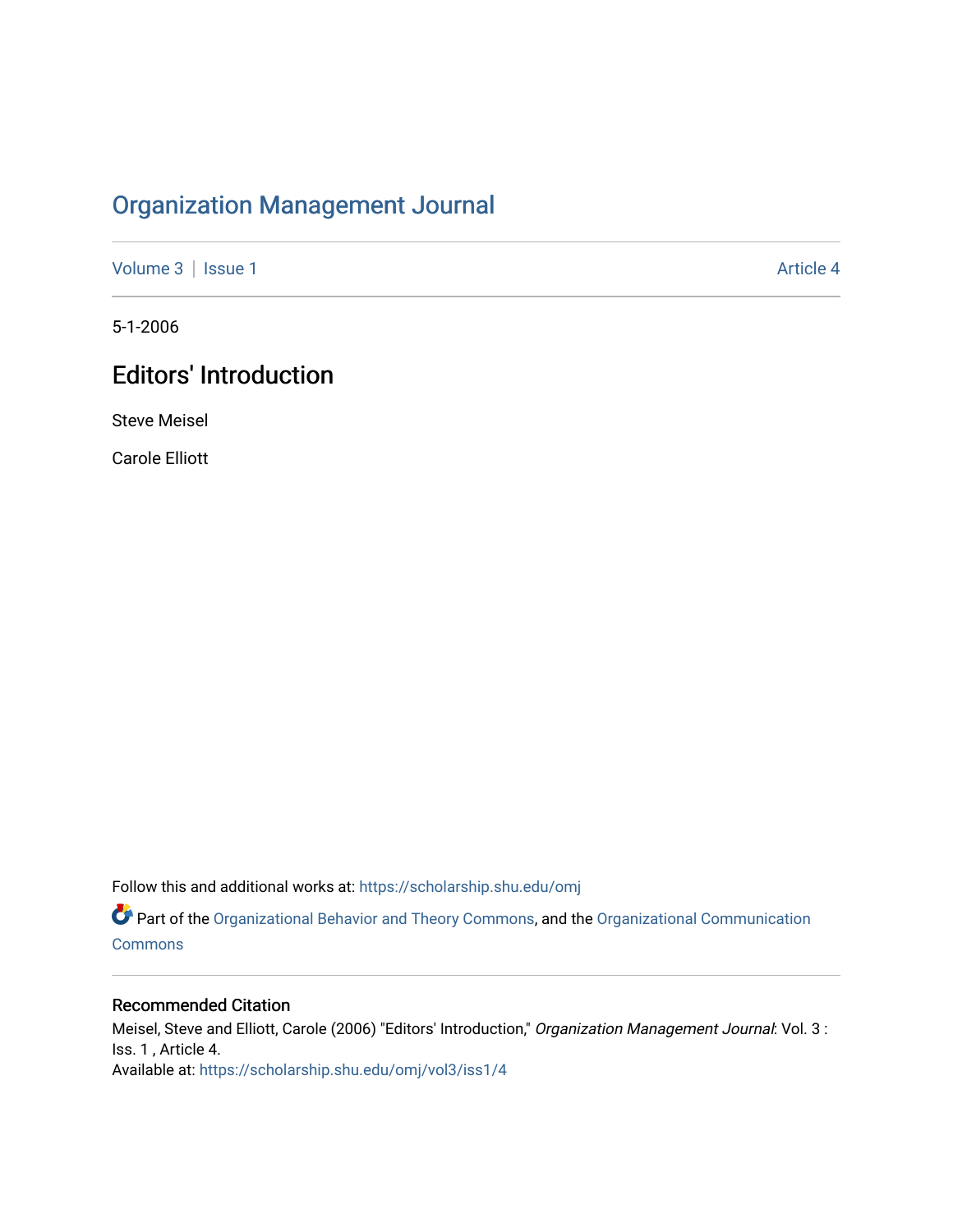# [Organization Management Journal](https://scholarship.shu.edu/omj)

[Volume 3](https://scholarship.shu.edu/omj/vol3) | [Issue 1](https://scholarship.shu.edu/omj/vol3/iss1) Article 4

5-1-2006

# Editors' Introduction

Steve Meisel

Carole Elliott

Follow this and additional works at: [https://scholarship.shu.edu/omj](https://scholarship.shu.edu/omj?utm_source=scholarship.shu.edu%2Fomj%2Fvol3%2Fiss1%2F4&utm_medium=PDF&utm_campaign=PDFCoverPages) 

Part of the [Organizational Behavior and Theory Commons,](http://network.bepress.com/hgg/discipline/639?utm_source=scholarship.shu.edu%2Fomj%2Fvol3%2Fiss1%2F4&utm_medium=PDF&utm_campaign=PDFCoverPages) and the [Organizational Communication](http://network.bepress.com/hgg/discipline/335?utm_source=scholarship.shu.edu%2Fomj%2Fvol3%2Fiss1%2F4&utm_medium=PDF&utm_campaign=PDFCoverPages) [Commons](http://network.bepress.com/hgg/discipline/335?utm_source=scholarship.shu.edu%2Fomj%2Fvol3%2Fiss1%2F4&utm_medium=PDF&utm_campaign=PDFCoverPages)

### Recommended Citation

Meisel, Steve and Elliott, Carole (2006) "Editors' Introduction," Organization Management Journal: Vol. 3 : Iss. 1 , Article 4. Available at: [https://scholarship.shu.edu/omj/vol3/iss1/4](https://scholarship.shu.edu/omj/vol3/iss1/4?utm_source=scholarship.shu.edu%2Fomj%2Fvol3%2Fiss1%2F4&utm_medium=PDF&utm_campaign=PDFCoverPages)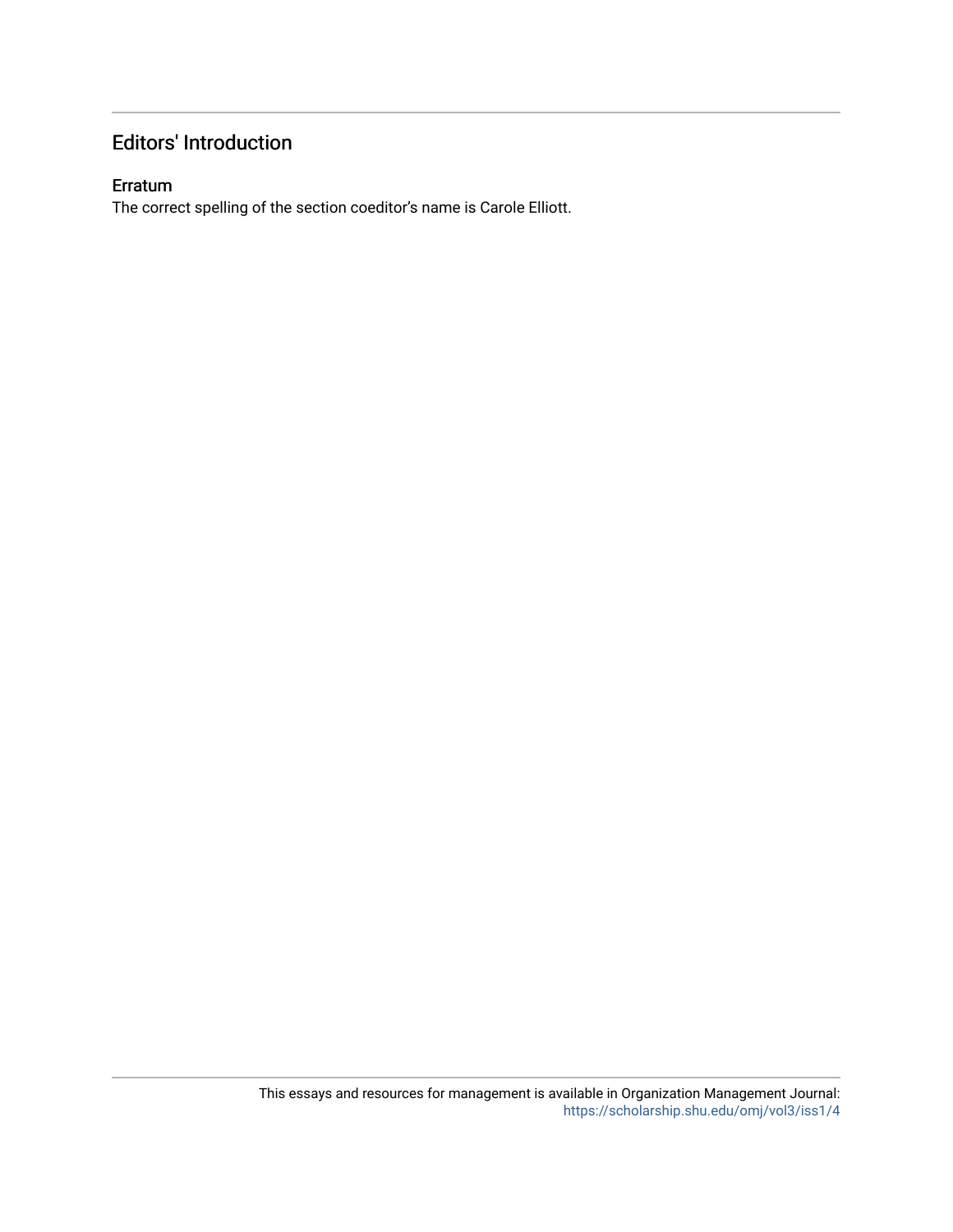## Editors' Introduction

#### Erratum

The correct spelling of the section coeditor's name is Carole Elliott.